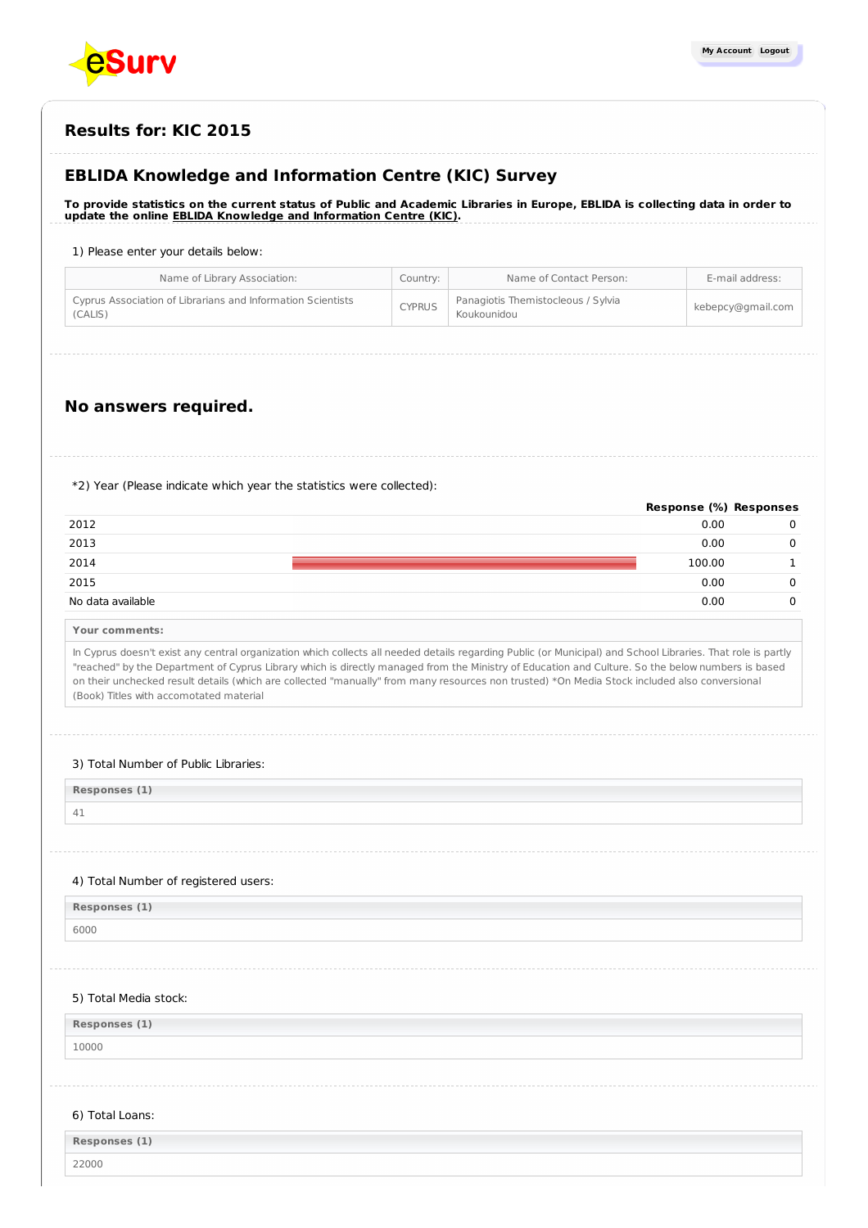

# **Results for: KIC 2015**

# **EBLIDA Knowledge and Information Centre (KIC) Survey**

To provide statistics on the current status of Public and Academic Libraries in Europe, EBLIDA is collecting data in order to **update the online EBLIDA Knowledge and [Information](http://www.eblida.org/activities/kic/) Centre (KIC).**

### 1) Please enter your details below:

| Name of Library Association:                                           | Country:      | Name of Contact Person:                           | E-mail address:   |
|------------------------------------------------------------------------|---------------|---------------------------------------------------|-------------------|
| Cyprus Association of Librarians and Information Scientists<br>(CALIS) | <b>CYPRUS</b> | Panagiotis Themistocleous / Sylvia<br>Koukounidou | kebepcy@gmail.com |

# **No answers required.**

\*2) Year (Please indicate which year the statistics were collected):

|                   | Response (%) Responses |  |
|-------------------|------------------------|--|
| 2012              | 0.00                   |  |
| 2013              | 0.00                   |  |
| 2014              | 100.00                 |  |
| 2015              | 0.00                   |  |
| No data available | 0.00                   |  |

#### **Your comments:**

In Cyprus doesn't exist any central organization which collects all needed details regarding Public (or Municipal) and School Libraries. That role is partly "reached" by the Department of Cyprus Library which is directly managed from the Ministry of Education and Culture. So the below numbers is based on their unchecked result details (which are collected "manually" from many resources non trusted) \*On Media Stock included also conversional (Book) Titles with accomotated material

#### 3) Total Number of Public Libraries:

**Responses (1)** 41

## 4) Total Number of registered users:

**Responses (1)**

6000

#### 5) Total Media stock:

**Responses (1)**

10000

## 6) Total Loans:

**Responses (1)**

22000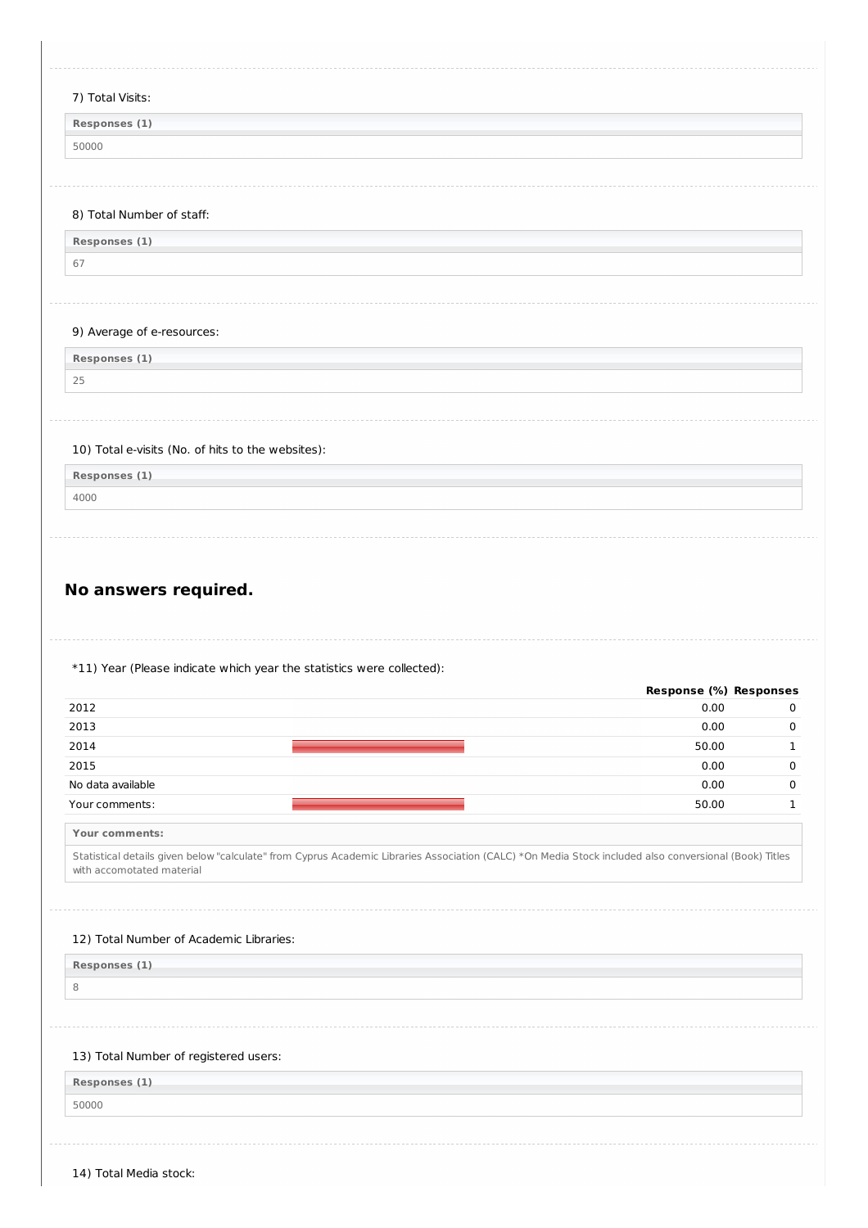| 7) Total Visits:                                                                                                                                                                                                                                                                                                                                                                                                                                                                 |                        |                                                       |
|----------------------------------------------------------------------------------------------------------------------------------------------------------------------------------------------------------------------------------------------------------------------------------------------------------------------------------------------------------------------------------------------------------------------------------------------------------------------------------|------------------------|-------------------------------------------------------|
| Responses (1)                                                                                                                                                                                                                                                                                                                                                                                                                                                                    |                        |                                                       |
| 50000                                                                                                                                                                                                                                                                                                                                                                                                                                                                            |                        |                                                       |
|                                                                                                                                                                                                                                                                                                                                                                                                                                                                                  |                        |                                                       |
| 8) Total Number of staff:                                                                                                                                                                                                                                                                                                                                                                                                                                                        |                        |                                                       |
| Responses (1)                                                                                                                                                                                                                                                                                                                                                                                                                                                                    |                        |                                                       |
| 67                                                                                                                                                                                                                                                                                                                                                                                                                                                                               |                        |                                                       |
|                                                                                                                                                                                                                                                                                                                                                                                                                                                                                  |                        |                                                       |
| 9) Average of e-resources:                                                                                                                                                                                                                                                                                                                                                                                                                                                       |                        |                                                       |
| Responses (1)                                                                                                                                                                                                                                                                                                                                                                                                                                                                    |                        |                                                       |
| 25                                                                                                                                                                                                                                                                                                                                                                                                                                                                               |                        |                                                       |
|                                                                                                                                                                                                                                                                                                                                                                                                                                                                                  |                        |                                                       |
|                                                                                                                                                                                                                                                                                                                                                                                                                                                                                  |                        |                                                       |
| 10) Total e-visits (No. of hits to the websites):                                                                                                                                                                                                                                                                                                                                                                                                                                |                        |                                                       |
| Responses (1)                                                                                                                                                                                                                                                                                                                                                                                                                                                                    |                        |                                                       |
| 4000                                                                                                                                                                                                                                                                                                                                                                                                                                                                             |                        |                                                       |
|                                                                                                                                                                                                                                                                                                                                                                                                                                                                                  |                        |                                                       |
| No answers required.                                                                                                                                                                                                                                                                                                                                                                                                                                                             |                        |                                                       |
|                                                                                                                                                                                                                                                                                                                                                                                                                                                                                  |                        |                                                       |
|                                                                                                                                                                                                                                                                                                                                                                                                                                                                                  | Response (%) Responses |                                                       |
|                                                                                                                                                                                                                                                                                                                                                                                                                                                                                  | 0.00                   |                                                       |
|                                                                                                                                                                                                                                                                                                                                                                                                                                                                                  | 0.00                   |                                                       |
|                                                                                                                                                                                                                                                                                                                                                                                                                                                                                  | 50.00                  |                                                       |
|                                                                                                                                                                                                                                                                                                                                                                                                                                                                                  | 0.00<br>0.00           |                                                       |
|                                                                                                                                                                                                                                                                                                                                                                                                                                                                                  | 50.00                  |                                                       |
|                                                                                                                                                                                                                                                                                                                                                                                                                                                                                  |                        |                                                       |
|                                                                                                                                                                                                                                                                                                                                                                                                                                                                                  |                        |                                                       |
|                                                                                                                                                                                                                                                                                                                                                                                                                                                                                  |                        |                                                       |
|                                                                                                                                                                                                                                                                                                                                                                                                                                                                                  |                        |                                                       |
|                                                                                                                                                                                                                                                                                                                                                                                                                                                                                  |                        |                                                       |
|                                                                                                                                                                                                                                                                                                                                                                                                                                                                                  |                        | $\mathbf 0$<br>0<br>1<br>$\mathbf 0$<br>$\Omega$<br>1 |
|                                                                                                                                                                                                                                                                                                                                                                                                                                                                                  |                        |                                                       |
|                                                                                                                                                                                                                                                                                                                                                                                                                                                                                  |                        |                                                       |
| *11) Year (Please indicate which year the statistics were collected):<br>2012<br>2013<br>2014<br>2015<br>No data available<br>Your comments:<br>Your comments:<br>Statistical details given below "calculate" from Cyprus Academic Libraries Association (CALC) *On Media Stock included also conversional (Book) Titles<br>with accomotated material<br>12) Total Number of Academic Libraries:<br>Responses (1)<br>8<br>13) Total Number of registered users:<br>Responses (1) |                        |                                                       |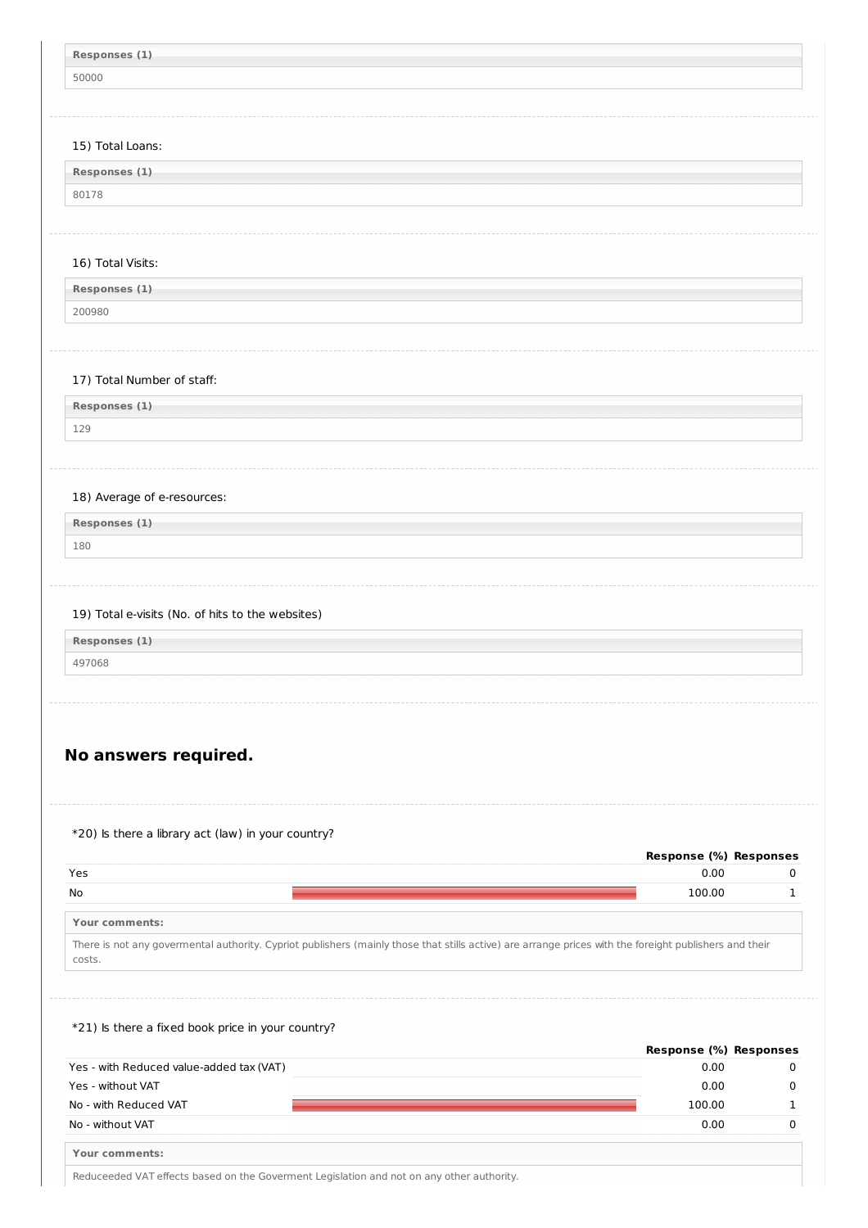| Responses (1)                                      |                        |              |
|----------------------------------------------------|------------------------|--------------|
| 50000                                              |                        |              |
|                                                    |                        |              |
|                                                    |                        |              |
| 15) Total Loans:                                   |                        |              |
| Responses (1)                                      |                        |              |
| 80178                                              |                        |              |
|                                                    |                        |              |
| 16) Total Visits:                                  |                        |              |
| Responses (1)                                      |                        |              |
| 200980                                             |                        |              |
|                                                    |                        |              |
|                                                    |                        |              |
| 17) Total Number of staff:                         |                        |              |
| Responses (1)                                      |                        |              |
| 129                                                |                        |              |
|                                                    |                        |              |
|                                                    |                        |              |
| 18) Average of e-resources:<br>Responses (1)       |                        |              |
| 180                                                |                        |              |
|                                                    |                        |              |
|                                                    |                        |              |
| 19) Total e-visits (No. of hits to the websites)   |                        |              |
| Responses (1)                                      |                        |              |
| 497068                                             |                        |              |
|                                                    |                        |              |
|                                                    |                        |              |
|                                                    |                        |              |
| No answers required.                               |                        |              |
|                                                    |                        |              |
|                                                    |                        |              |
| *20) Is there a library act (law) in your country? |                        |              |
|                                                    | Response (%) Responses |              |
| Yes                                                | 0.00                   | 0            |
|                                                    | 100.00                 | $\mathbf{1}$ |
| No                                                 |                        |              |
| Your comments:                                     |                        |              |

# \*21) Is there a fixed book price in your country?

|                                          | Response (%) Responses |  |
|------------------------------------------|------------------------|--|
| Yes - with Reduced value-added tax (VAT) | 0.00                   |  |
| Yes - without VAT                        | 0.00                   |  |
| No - with Reduced VAT                    | 100.00                 |  |
| No - without VAT                         | 0.00                   |  |
|                                          |                        |  |

**Your comments:**

Reduceeded VAT effects based on the Goverment Legislation and not on any other authority.